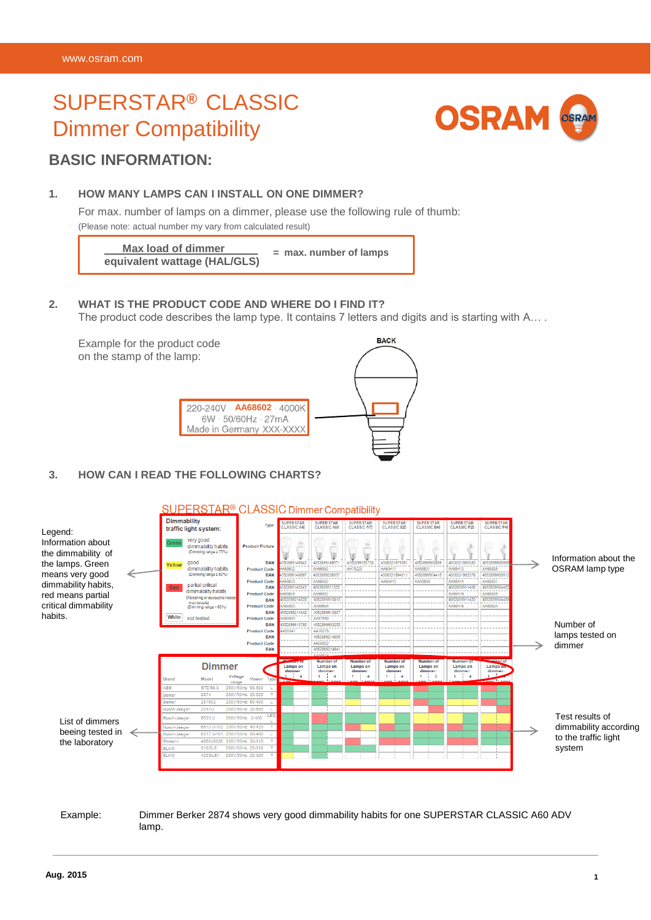# SUPERSTAR**®** CLASSIC Dimmer Compatibility



#### **BASIC INFORMATION:**

#### **1. HOW MANY LAMPS CAN I INSTALL ON ONE DIMMER?**

For max. number of lamps on a dimmer, please use the following rule of thumb: (Please note: actual number my vary from calculated result)

**Max load of dimmer equivalent wattage (HAL/GLS) = max. number of lamps**

#### **2. WHAT IS THE PRODUCT CODE AND WHERE DO I FIND IT?**

The product code describes the lamp type. It contains 7 letters and digits and is starting with A....

Example for the product code on the stamp of the lamp:



#### **3. HOW CAN I READ THE FOLLOWING CHARTS?**



#### Example: Dimmer Berker 2874 shows very good dimmability habits for one SUPERSTAR CLASSIC A60 ADV lamp.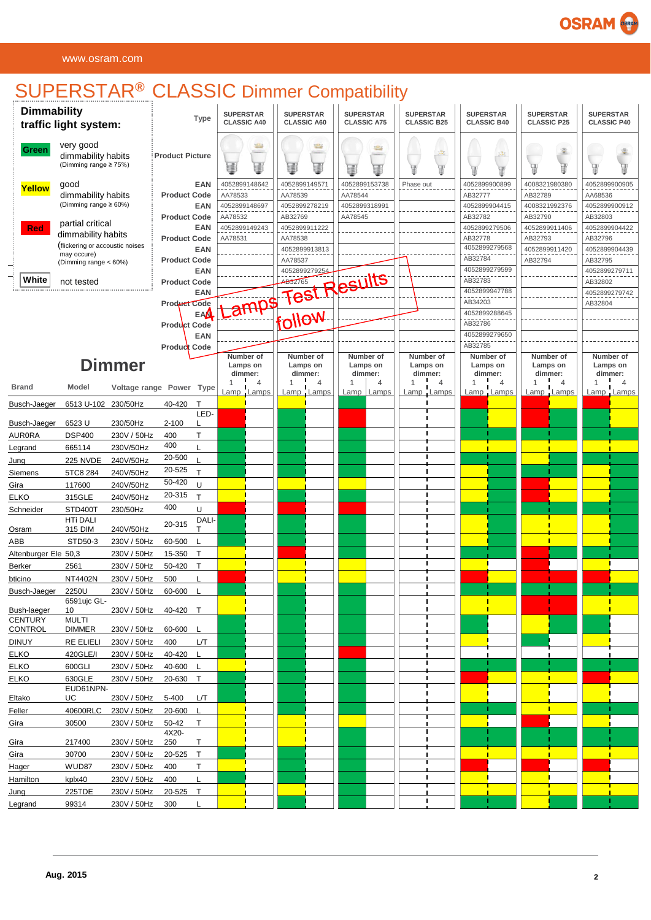# **OSRAM**

#### www.osram.com

## SUPERSTAR**®** CLASSIC Dimmer Compatibility

| <b>Dimmability</b><br>traffic light system: |                                                          | <b>Type</b>                |                        | <b>SUPERSTAR</b><br><b>CLASSIC A40</b> |                          | <b>SUPERSTAR</b><br><b>CLASSIC A60</b> |                          | <b>SUPERSTAR</b><br><b>CLASSIC A75</b> |                          | <b>SUPERSTAR</b><br><b>CLASSIC B25</b> |                     | <b>SUPERSTAR</b><br><b>CLASSIC B40</b> |                          | <b>SUPERSTAR</b><br><b>CLASSIC P25</b> |                          | <b>SUPERSTAR</b><br><b>CLASSIC P40</b> |         |                     |
|---------------------------------------------|----------------------------------------------------------|----------------------------|------------------------|----------------------------------------|--------------------------|----------------------------------------|--------------------------|----------------------------------------|--------------------------|----------------------------------------|---------------------|----------------------------------------|--------------------------|----------------------------------------|--------------------------|----------------------------------------|---------|---------------------|
| Green                                       | very good<br>dimmability habits<br>(Dimming range ≥ 75%) |                            | <b>Product Picture</b> |                                        |                          | S<br>₹                                 |                          | ₩<br>글                                 |                          | s<br>畫                                 |                     | 遇<br>Φ                                 |                          | $\frac{3}{2}$                          | ¥                        | 峯<br>V                                 |         |                     |
| Yellow                                      | good                                                     |                            |                        | EAN                                    | 4052899148642            |                                        | 4052899149571            |                                        | 4052899153738            |                                        | Phase out           |                                        | 4052899900899            |                                        | 4008321980380            |                                        |         | 4052899900905       |
|                                             | dimmability habits<br>(Dimming range ≥ 60%)              |                            | <b>Product Code</b>    | <b>EAN</b>                             | AA78533<br>4052899148697 |                                        | AA78539<br>4052899278219 |                                        | AA78544<br>4052899318991 |                                        |                     |                                        | AB32777<br>4052899904415 |                                        | AB32789<br>4008321992376 |                                        | AA68536 | 4052899900912       |
|                                             |                                                          |                            | <b>Product Code</b>    |                                        | AA78532                  |                                        | AB32769                  |                                        | AA78545                  |                                        |                     |                                        | AB32782                  |                                        | AB32790                  |                                        | AB32803 |                     |
| Red                                         | partial critical<br>dimmability habits                   |                            |                        | <b>EAN</b>                             | 4052899149243            |                                        | 4052899911222            |                                        |                          |                                        |                     |                                        | 4052899279506            |                                        | 4052899911406            |                                        |         | 4052899904422       |
|                                             | (flickering or accoustic noises                          |                            | <b>Product Code</b>    | <b>EAN</b>                             | AA78531                  |                                        | AA78538                  |                                        |                          |                                        |                     |                                        | AB32778<br>4052899279568 |                                        | AB32793                  |                                        | AB32796 |                     |
|                                             | may occure)<br>(Dimming range < 60%)                     |                            | <b>Product Code</b>    |                                        |                          |                                        | 4052899913813<br>AA78537 |                                        |                          |                                        |                     |                                        | AB32784                  |                                        | 4052899911420<br>AB32794 |                                        | AB32795 | 4052899904439       |
|                                             |                                                          |                            |                        | <b>EAN</b>                             |                          |                                        |                          |                                        |                          |                                        |                     |                                        | 4052899279599            |                                        |                          |                                        |         | 4052899279711       |
| White                                       | not tested                                               |                            | <b>Product Code</b>    |                                        |                          |                                        |                          |                                        |                          |                                        |                     |                                        | AB32783                  |                                        |                          |                                        | AB32802 |                     |
|                                             |                                                          |                            | Product Code           | <b>EAN</b>                             |                          |                                        |                          |                                        | amps Test Results        |                                        |                     |                                        | 4052899947788<br>AB34203 |                                        |                          |                                        | AB32804 | 4052899279742       |
|                                             |                                                          |                            |                        | <b>EAA</b>                             |                          |                                        | iollow                   |                                        |                          |                                        |                     |                                        | 4052899288645            |                                        |                          |                                        |         |                     |
|                                             |                                                          |                            | <b>Product Code</b>    |                                        |                          |                                        |                          |                                        |                          |                                        |                     |                                        | AB32786                  |                                        |                          |                                        |         |                     |
|                                             |                                                          |                            |                        | <b>EAN</b>                             |                          |                                        |                          |                                        |                          |                                        |                     |                                        | 4052899279650<br>AB32785 |                                        |                          |                                        |         |                     |
|                                             |                                                          |                            | Product Code           |                                        | Number of                |                                        | Number of                |                                        |                          | Number of                              | Number of           |                                        | Number of                |                                        | Number of                |                                        |         | Number of           |
|                                             |                                                          | <b>Dimmer</b>              |                        |                                        | Lamps on<br>dimmer:      |                                        | Lamps on<br>dimmer:      |                                        | Lamps on                 | dimmer:                                | Lamps on<br>dimmer: |                                        | Lamps on<br>dimmer:      |                                        | Lamps on<br>dimmer:      |                                        |         | Lamps on<br>dimmer: |
| <b>Brand</b>                                | Model                                                    | Voltage range Power Type   |                        |                                        | $\mathbf{1}$             | $\overline{4}$                         | 1                        | 4                                      | 1                        | 4                                      | $\mathbf{1}$        | $\overline{4}$                         | 1                        | $\overline{4}$                         | $\mathbf{1}$             | $\overline{4}$                         | 1       | $\overline{4}$      |
|                                             |                                                          |                            |                        |                                        |                          | Lamp Lamps                             |                          | Lamp Lamps                             |                          | $Lamp$   $Lamps$                       | Lamp Lamps          |                                        | Lamp Lamps               |                                        | Lamp Lamps               |                                        |         | Lamp Lamps          |
| Busch-Jaeger                                | 6513 U-102 230/50Hz                                      |                            | 40-420                 | $\top$<br>LED-                         |                          |                                        |                          |                                        |                          |                                        |                     |                                        |                          |                                        |                          |                                        |         |                     |
| Busch-Jaeger                                | 6523 U                                                   | 230/50Hz                   | $2 - 100$              | L                                      |                          |                                        |                          |                                        |                          |                                        |                     |                                        |                          |                                        |                          |                                        |         |                     |
| <b>AUR0RA</b>                               | <b>DSP400</b>                                            | 230V / 50Hz                | 400                    | T                                      |                          |                                        |                          |                                        |                          |                                        | п                   |                                        |                          |                                        |                          |                                        |         |                     |
| Legrand                                     | 665114                                                   | 230V/50Hz                  | 400                    | L                                      |                          |                                        |                          |                                        |                          |                                        |                     |                                        |                          |                                        |                          |                                        |         |                     |
| Jung                                        | <b>225 NVDE</b>                                          | 240V/50Hz                  | 20-500<br>20-525       |                                        |                          |                                        |                          |                                        |                          |                                        |                     |                                        |                          |                                        |                          |                                        |         |                     |
| Siemens                                     | 5TC8 284                                                 | 240V/50Hz                  | 50-420                 | $\mathsf{T}$                           |                          |                                        |                          |                                        |                          |                                        |                     |                                        |                          |                                        |                          |                                        |         |                     |
| Gira<br><b>ELKO</b>                         | 117600<br>315GLE                                         | 240V/50Hz<br>240V/50Hz     | 20-315                 | U<br>$\mathsf{T}$                      |                          |                                        |                          |                                        |                          |                                        |                     |                                        |                          |                                        |                          |                                        |         |                     |
| Schneider                                   | STD400T                                                  | 230/50Hz                   | 400                    | U                                      |                          |                                        |                          |                                        |                          |                                        |                     |                                        |                          |                                        |                          |                                        |         |                     |
|                                             | <b>HTi DALI</b>                                          |                            | 20-315                 | DALI-                                  |                          |                                        |                          |                                        |                          |                                        |                     |                                        |                          |                                        |                          |                                        |         |                     |
| Osram                                       | 315 DIM                                                  | 240V/50Hz                  |                        | $\mathsf{T}$                           |                          |                                        |                          |                                        |                          |                                        |                     |                                        |                          |                                        |                          |                                        |         |                     |
| ABB                                         | STD50-3                                                  | 230V / 50Hz                | 60-500                 |                                        |                          |                                        |                          |                                        |                          |                                        |                     |                                        |                          |                                        |                          |                                        |         |                     |
| Altenburger Ele 50,3                        |                                                          | 230V / 50Hz<br>230V / 50Hz | 15-350<br>50-420       | $\top$<br>$\mathsf{T}$                 |                          |                                        |                          |                                        |                          |                                        | п                   |                                        |                          |                                        |                          |                                        |         |                     |
| Berker<br>bticino                           | 2561<br>NT4402N                                          | 230V / 50Hz                | 500                    |                                        |                          |                                        |                          |                                        |                          |                                        |                     |                                        |                          |                                        |                          |                                        |         |                     |
| Busch-Jaeger                                | 2250U                                                    | 230V / 50Hz                | 60-600                 |                                        |                          |                                        |                          |                                        |                          |                                        | п                   |                                        |                          |                                        |                          |                                        |         |                     |
|                                             | 6591 ujc GL-                                             |                            |                        |                                        |                          |                                        |                          |                                        |                          |                                        |                     |                                        |                          |                                        |                          |                                        |         |                     |
| Bush-laeger<br><b>CENTURY</b>               | 10<br><b>MULTI</b>                                       | 230V / 50Hz 40-420 T       |                        |                                        |                          |                                        |                          |                                        |                          |                                        |                     |                                        |                          |                                        |                          |                                        |         |                     |
| CONTROL                                     | <b>DIMMER</b>                                            | 230V / 50Hz                | 60-600 L               |                                        |                          |                                        |                          |                                        |                          |                                        |                     |                                        |                          |                                        |                          |                                        |         |                     |
| <b>DINUY</b>                                | <b>RE ELIELI</b>                                         | 230V / 50Hz                | 400                    | L/Т                                    |                          |                                        |                          |                                        |                          |                                        | п                   |                                        |                          |                                        |                          |                                        |         |                     |
| <b>ELKO</b>                                 | 420GLE/I                                                 | 230V / 50Hz                | 40-420 L               |                                        |                          |                                        |                          |                                        |                          |                                        |                     |                                        |                          |                                        |                          |                                        |         |                     |
| <b>ELKO</b>                                 | 600GLI                                                   | 230V / 50Hz                | 40-600 L               |                                        |                          |                                        |                          |                                        |                          |                                        |                     |                                        |                          |                                        |                          |                                        |         |                     |
| <b>ELKO</b>                                 | 630GLE<br>EUD61NPN-                                      | 230V / 50Hz                | 20-630 T               |                                        |                          |                                        |                          |                                        |                          |                                        |                     |                                        |                          |                                        |                          |                                        |         |                     |
| Eltako                                      | UC                                                       | 230V / 50Hz                | 5-400                  | LЛ                                     |                          |                                        |                          |                                        |                          |                                        |                     |                                        |                          |                                        |                          |                                        |         |                     |
| Feller                                      | 40600RLC                                                 | 230V / 50Hz                | 20-600                 | L                                      |                          |                                        |                          |                                        |                          |                                        | п                   |                                        |                          |                                        |                          |                                        |         |                     |
| Gira                                        | 30500                                                    | 230V / 50Hz                | 50-42                  | T                                      |                          |                                        |                          |                                        |                          |                                        |                     |                                        |                          |                                        |                          |                                        |         |                     |
| Gira                                        | 217400                                                   | 230V / 50Hz                | 4X20-<br>250           | T                                      |                          |                                        |                          |                                        |                          |                                        | ш                   |                                        |                          |                                        |                          |                                        |         |                     |
| Gira                                        | 30700                                                    | 230V / 50Hz                | 20-525                 | $\top$                                 |                          |                                        |                          |                                        |                          |                                        | ш                   |                                        |                          |                                        |                          |                                        |         |                     |
| Hager                                       | WUD87                                                    | 230V / 50Hz                | 400                    | T                                      |                          |                                        |                          |                                        |                          |                                        |                     |                                        |                          |                                        |                          |                                        |         |                     |
| Hamilton                                    | kplx40                                                   | 230V / 50Hz                | 400                    | L                                      |                          |                                        |                          |                                        |                          |                                        | п                   |                                        |                          |                                        |                          |                                        |         |                     |
| Jung                                        | 225TDE                                                   | 230V / 50Hz                | 20-525 T               |                                        |                          |                                        |                          |                                        |                          |                                        |                     |                                        |                          |                                        |                          |                                        |         |                     |
| Legrand                                     | 99314                                                    | 230V / 50Hz 300            |                        |                                        |                          |                                        |                          |                                        |                          |                                        | L                   |                                        |                          |                                        |                          |                                        |         |                     |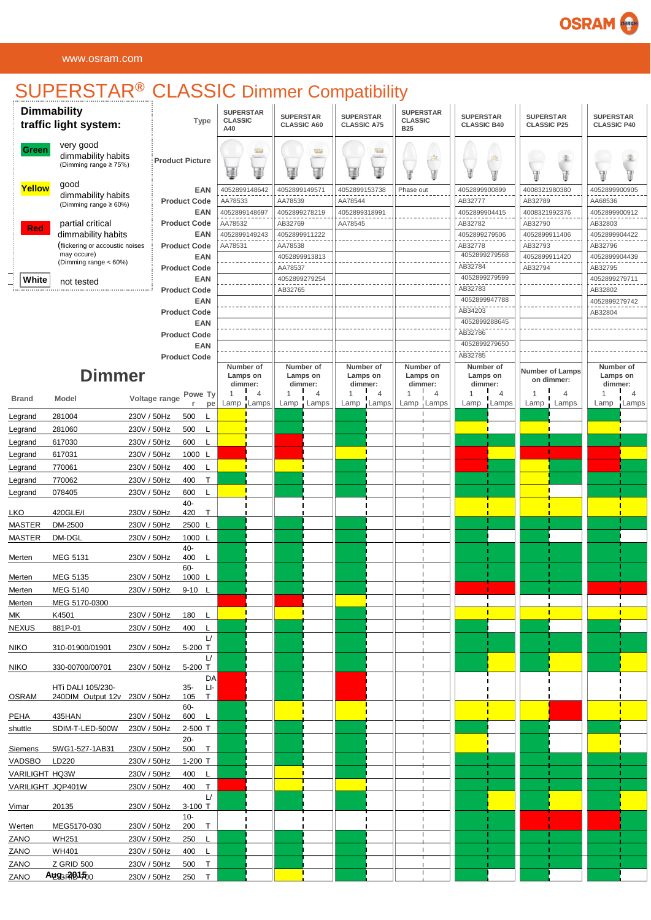# **OSRAM**

# SUPERSTAR**®** CLASSIC Dimmer Compatibility

|                       | <b>Dimmability</b><br>traffic light system:              |                            | <b>Type</b>                       | <b>CLASSIC</b><br>A40 | <b>SUPERSTAR</b>                 | <b>SUPERSTAR</b>         | <b>CLASSIC A60</b>               | <b>SUPERSTAR</b><br><b>CLASSIC A75</b> |                | <b>SUPERSTAR</b><br><b>CLASSIC</b><br><b>B25</b> |                                  | <b>SUPERSTAR</b><br><b>CLASSIC B40</b> |                | <b>SUPERSTAR</b><br><b>CLASSIC P25</b> |                               | <b>SUPERSTAR</b><br><b>CLASSIC P40</b> |                                  |
|-----------------------|----------------------------------------------------------|----------------------------|-----------------------------------|-----------------------|----------------------------------|--------------------------|----------------------------------|----------------------------------------|----------------|--------------------------------------------------|----------------------------------|----------------------------------------|----------------|----------------------------------------|-------------------------------|----------------------------------------|----------------------------------|
| Green                 | very good<br>dimmability habits<br>(Dimming range ≥ 75%) |                            | <b>Product Picture</b>            | ₫                     | 坚                                |                          | ₩<br>a.                          |                                        | tB.<br>2       |                                                  | $\mathbb{R}^3$<br>V              |                                        | 識<br>Œ         | 山海山                                    | 峯                             |                                        |                                  |
| Yellow                | good<br>dimmability habits<br>(Dimming range ≥ 60%)      |                            | <b>EAN</b><br><b>Product Code</b> | AA78533               | 4052899148642                    | 4052899149571<br>AA78539 |                                  | 4052899153738<br>AA78544               |                | Phase out                                        |                                  | 4052899900899<br>AB32777               |                | 4008321980380<br>AB32789               |                               | 4052899900905<br>AA68536               |                                  |
|                       | partial critical                                         |                            | <b>EAN</b><br><b>Product Code</b> | AA78532               | 4052899148697                    | AB32769                  | 4052899278219                    | 4052899318991<br>AA78545               |                |                                                  |                                  | 4052899904415<br>AB32782               |                | 4008321992376<br>AB32790               |                               | 4052899900912<br>AB32803               |                                  |
| <b>Red</b>            | dimmability habits                                       |                            | <b>EAN</b>                        |                       | 4052899149243                    |                          | 4052899911222                    |                                        |                |                                                  |                                  | 4052899279506                          |                | 4052899911406                          |                               | 4052899904422                          |                                  |
|                       | (flickering or accoustic noises                          |                            | <b>Product Code</b>               | AA78531               |                                  | AA78538                  |                                  |                                        |                |                                                  |                                  | AB32778                                |                | AB32793                                |                               | AB32796                                |                                  |
|                       | may occure)<br>(Dimming range < 60%)                     |                            | <b>EAN</b>                        |                       |                                  |                          | 4052899913813                    |                                        |                |                                                  |                                  | 4052899279568                          |                | 4052899911420                          |                               | 4052899904439                          |                                  |
|                       |                                                          |                            | <b>Product Code</b>               |                       |                                  | AA78537                  |                                  |                                        |                |                                                  |                                  | AB32784<br>4052899279599               |                | AB32794                                |                               | AB32795                                |                                  |
| White                 | not tested                                               |                            | <b>EAN</b><br><b>Product Code</b> |                       |                                  | AB32765                  | 4052899279254                    |                                        |                |                                                  |                                  | AB32783                                |                |                                        |                               | 4052899279711<br>AB32802               |                                  |
|                       |                                                          |                            | <b>EAN</b>                        |                       |                                  |                          |                                  |                                        |                |                                                  |                                  | 4052899947788                          |                |                                        |                               | 4052899279742                          |                                  |
|                       |                                                          |                            | <b>Product Code</b>               |                       |                                  |                          |                                  |                                        |                |                                                  |                                  | AB34203                                |                |                                        |                               | AB32804                                |                                  |
|                       |                                                          |                            | <b>EAN</b>                        |                       |                                  |                          |                                  |                                        |                |                                                  |                                  | 4052899288645                          |                |                                        |                               |                                        |                                  |
|                       |                                                          |                            | <b>Product Code</b><br><b>EAN</b> |                       |                                  |                          |                                  |                                        |                |                                                  |                                  | AB32786<br>4052899279650               |                |                                        |                               |                                        |                                  |
|                       |                                                          |                            | <b>Product Code</b>               |                       |                                  |                          |                                  |                                        |                |                                                  |                                  | AB32785                                |                |                                        |                               |                                        |                                  |
|                       | <b>Dimmer</b>                                            |                            |                                   |                       | Number of<br>Lamps on<br>dimmer: |                          | Number of<br>Lamps on<br>dimmer: | Number of<br>Lamps on<br>dimmer:       |                |                                                  | Number of<br>Lamps on<br>dimmer: | Number of<br>Lamps on<br>dimmer:       |                |                                        | Number of Lamps<br>on dimmer: |                                        | Number of<br>Lamps on<br>dimmer: |
| <b>Brand</b>          | Model                                                    | Voltage range              | Powe Ty                           | 1                     | $\overline{4}$                   | 1                        | $\overline{4}$                   | $\mathbf{1}$                           | $\overline{4}$ | 1                                                | 4                                | $\mathbf{1}$                           | $\overline{4}$ | -1                                     | $\overline{4}$                | 1                                      | $\overline{4}$                   |
|                       |                                                          |                            | pe                                | Lamp                  | Lamps                            | Lamp                     | Lamps                            | Lamp                                   | Lamps          | Lamp                                             | Lamps                            | Lamp                                   | Lamps          | Lamp                                   | Lamps                         | Lamp                                   | Lamps                            |
| Legrand               | 281004                                                   | 230V / 50Hz                | 500                               |                       |                                  |                          |                                  |                                        |                |                                                  |                                  |                                        |                |                                        |                               |                                        |                                  |
| Legrand               | 281060<br>617030                                         | 230V / 50Hz                | 500<br>I.<br>600<br>L             |                       |                                  |                          |                                  |                                        |                |                                                  |                                  |                                        |                |                                        |                               |                                        |                                  |
| Legrand<br>Legrand    | 617031                                                   | 230V / 50Hz<br>230V / 50Hz | 1000<br><sup>L</sup>              |                       |                                  |                          |                                  |                                        |                |                                                  |                                  |                                        |                |                                        |                               |                                        |                                  |
| Legrand               | 770061                                                   | 230V / 50Hz                | 400<br>T                          |                       |                                  |                          |                                  |                                        |                |                                                  |                                  |                                        |                |                                        |                               |                                        |                                  |
| Legrand               | 770062                                                   | 230V / 50Hz                | T<br>400                          |                       |                                  |                          |                                  |                                        |                |                                                  |                                  |                                        |                |                                        |                               |                                        |                                  |
| Legrand               | 078405                                                   | 230V / 50Hz                | 600<br>L                          |                       |                                  |                          |                                  |                                        |                |                                                  |                                  |                                        |                |                                        |                               |                                        |                                  |
|                       |                                                          |                            | $40 -$                            |                       |                                  |                          |                                  |                                        |                |                                                  |                                  |                                        |                |                                        |                               |                                        |                                  |
| LKO                   | 420GLE/I                                                 | 230V / 50Hz                | 420<br>T                          |                       |                                  |                          |                                  |                                        |                |                                                  |                                  |                                        |                |                                        |                               |                                        |                                  |
| <b>MASTER</b>         | DM-2500                                                  | 230V / 50Hz                | 2500<br>-L                        |                       |                                  |                          |                                  |                                        |                |                                                  |                                  |                                        |                |                                        |                               |                                        |                                  |
| <b>MASTER</b>         | DM-DGL                                                   | 230V / 50Hz                | 1000 L<br>40-                     |                       |                                  |                          |                                  |                                        |                |                                                  |                                  |                                        |                |                                        |                               |                                        |                                  |
| Merten                | MEG 5131                                                 | 230V / 50Hz                | 400<br>L                          |                       |                                  |                          |                                  |                                        |                |                                                  |                                  |                                        |                |                                        |                               |                                        |                                  |
| Merten                | MEG 5135                                                 | 230V / 50Hz                | 60-<br>1000 L                     |                       |                                  |                          |                                  |                                        |                |                                                  |                                  |                                        |                |                                        |                               |                                        |                                  |
| Merten                | MEG 5140                                                 | 230V / 50Hz                | $9 - 10$                          |                       |                                  |                          |                                  |                                        |                |                                                  |                                  |                                        |                |                                        |                               |                                        |                                  |
| Merten                | MEG 5170-0300                                            |                            |                                   |                       |                                  |                          |                                  |                                        |                |                                                  |                                  |                                        |                |                                        |                               |                                        |                                  |
| МK                    | K4501                                                    | 230V / 50Hz                | 180<br>L                          |                       |                                  |                          |                                  |                                        |                |                                                  |                                  |                                        |                |                                        |                               |                                        |                                  |
| <b>NEXUS</b>          | 881P-01                                                  | 230V / 50Hz                | 400<br>L                          |                       |                                  |                          |                                  |                                        |                |                                                  |                                  |                                        |                |                                        |                               |                                        |                                  |
| <b>NIKO</b>           | 310-01900/01901                                          | 230V / 50Hz                | Ц<br>5-200 T                      |                       |                                  |                          |                                  |                                        |                |                                                  |                                  |                                        |                |                                        |                               |                                        |                                  |
|                       |                                                          |                            | Ц                                 |                       |                                  |                          |                                  |                                        |                |                                                  |                                  |                                        |                |                                        |                               |                                        |                                  |
| <b>NIKO</b>           | 330-00700/00701                                          | 230V / 50Hz                | 5-200 T<br>DA                     |                       |                                  |                          |                                  |                                        |                |                                                  |                                  |                                        |                |                                        |                               |                                        |                                  |
|                       | <b>HTi DALI 105/230-</b>                                 |                            | LI-<br>$35-$                      |                       |                                  |                          |                                  |                                        |                |                                                  |                                  |                                        |                |                                        |                               |                                        |                                  |
| <b>OSRAM</b>          | 240DIM Output 12v 230V / 50Hz                            |                            | 105<br>T.<br>60-                  |                       |                                  |                          |                                  |                                        |                |                                                  |                                  |                                        |                |                                        |                               |                                        |                                  |
| PEHA                  | 435HAN                                                   | 230V / 50Hz                | 600<br>L                          |                       |                                  |                          |                                  |                                        |                |                                                  |                                  |                                        |                |                                        |                               |                                        |                                  |
| shuttle               | SDIM-T-LED-500W                                          | 230V / 50Hz                | 2-500 T                           |                       |                                  |                          |                                  |                                        |                |                                                  |                                  |                                        |                |                                        |                               |                                        |                                  |
| Siemens               | 5WG1-527-1AB31                                           | 230V / 50Hz                | $20 -$<br>500<br>T                |                       |                                  |                          |                                  |                                        |                |                                                  |                                  |                                        |                |                                        |                               |                                        |                                  |
| VADSBO                | LD220                                                    | 230V / 50Hz                | 1-200 T                           |                       |                                  |                          |                                  |                                        |                |                                                  |                                  |                                        |                |                                        |                               |                                        |                                  |
| <b>VARILIGHT HQ3W</b> |                                                          | 230V / 50Hz                | 400<br>L.                         |                       |                                  |                          |                                  |                                        |                |                                                  |                                  |                                        |                |                                        |                               |                                        |                                  |
|                       | VARILIGHT JQP401W                                        | 230V / 50Hz                | T<br>400<br>$\cup$                |                       |                                  |                          |                                  |                                        |                |                                                  |                                  |                                        |                |                                        |                               |                                        |                                  |
| Vimar                 | 20135                                                    | 230V / 50Hz                | $3-100$ T<br>$10 -$               |                       |                                  |                          |                                  |                                        |                |                                                  |                                  |                                        |                |                                        |                               |                                        |                                  |
| Werten                | MEG5170-030                                              | 230V / 50Hz                | $\top$<br>200                     |                       |                                  |                          |                                  |                                        |                |                                                  |                                  |                                        |                |                                        |                               |                                        |                                  |
| ZANO                  | <b>WH251</b>                                             | 230V / 50Hz                | 250<br>L                          |                       |                                  |                          |                                  |                                        |                |                                                  |                                  |                                        |                |                                        |                               |                                        |                                  |
| ZANO                  | <b>WH401</b>                                             | 230V / 50Hz                | L<br>400                          |                       |                                  |                          |                                  |                                        |                |                                                  |                                  |                                        |                |                                        |                               |                                        |                                  |
| ZANO                  | Z GRID 500                                               | 230V / 50Hz                | T<br>500                          |                       |                                  |                          |                                  |                                        |                |                                                  |                                  |                                        |                |                                        |                               |                                        |                                  |
| ZANO                  | Augg 201500                                              | 230V / 50Hz                | $\mathsf{T}$<br>250               |                       |                                  |                          |                                  |                                        |                |                                                  |                                  |                                        |                |                                        |                               |                                        |                                  |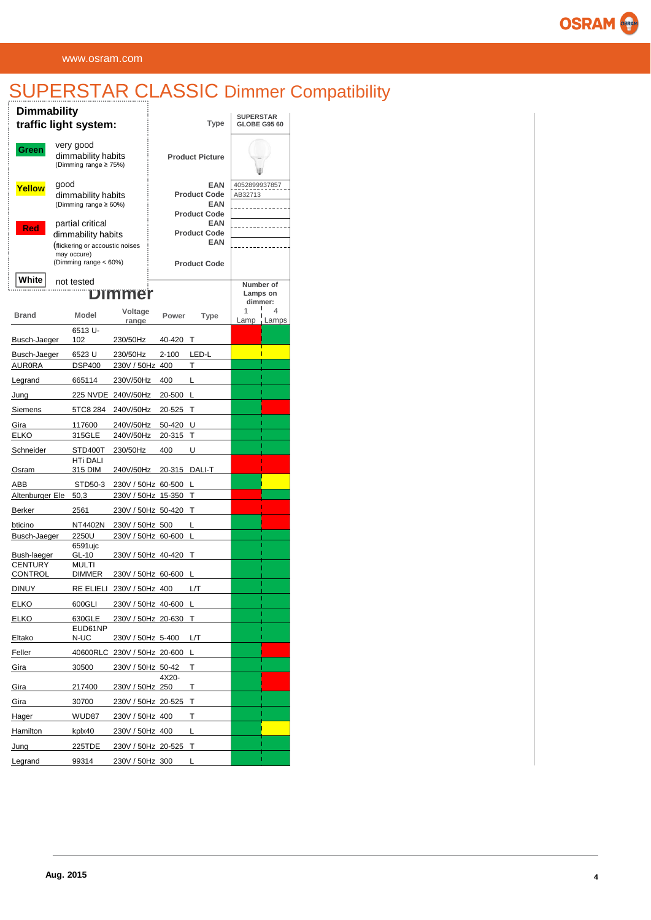## SUPERSTAR CLASSIC Dimmer Compatibility

| <b>Dimmability</b>               | traffic light system:                                                                   |                                          |        | Type                                            | <b>SUPERSTAR</b><br><b>GLOBE G95 60</b> |            |  |  |
|----------------------------------|-----------------------------------------------------------------------------------------|------------------------------------------|--------|-------------------------------------------------|-----------------------------------------|------------|--|--|
| Green                            | very good<br>dimmability habits<br>(Dimming range ≥ 75%)                                |                                          |        | <b>Product Picture</b>                          |                                         |            |  |  |
| Yellow                           | good<br>dimmability habits<br>(Dimming range ≥ 60%)                                     |                                          |        | <b>EAN</b><br><b>Product Code</b><br><b>EAN</b> | 4052899937857<br>AB32713                |            |  |  |
|                                  |                                                                                         |                                          |        | <b>Product Code</b>                             |                                         |            |  |  |
| Red                              | partial critical<br>dimmability habits<br>flickering or accoustic noises<br>may occure) |                                          |        | <b>EAN</b><br><b>Product Code</b><br><b>EAN</b> |                                         |            |  |  |
| White                            | (Dimming range < 60%)<br>not tested                                                     |                                          |        | <b>Product Code</b>                             | Number of                               |            |  |  |
|                                  |                                                                                         | Dimmer                                   |        |                                                 | Lamps on<br>dimmer:                     |            |  |  |
| Brand                            | <b>Model</b>                                                                            | Voltage<br>range                         | Power  | Type                                            | 1<br>Lamp                               | 4<br>Lamps |  |  |
| Busch-Jaeger                     | 6513 U-<br>102                                                                          | 230/50Hz                                 | 40-420 | Т                                               |                                         |            |  |  |
| Busch-Jaeger                     | 6523 U                                                                                  | 230/50Hz                                 | 2-100  | LED-L                                           |                                         |            |  |  |
| <b>AUR0RA</b>                    | <b>DSP400</b>                                                                           | 230V / 50Hz                              | 400    | Т                                               |                                         |            |  |  |
| Legrand                          | 665114                                                                                  | 230V/50Hz                                | 400    | L                                               |                                         |            |  |  |
| Jung                             |                                                                                         | 225 NVDE 240V/50Hz                       | 20-500 | L                                               |                                         |            |  |  |
| Siemens                          | 5TC8 284                                                                                | 240V/50Hz                                | 20-525 | Т                                               |                                         |            |  |  |
| Gira                             | 117600                                                                                  | 240V/50Hz                                | 50-420 | U                                               |                                         |            |  |  |
| <b>ELKO</b>                      | 315GLE                                                                                  | 240V/50Hz                                | 20-315 | т                                               |                                         |            |  |  |
| Schneider                        | STD400T<br><b>HTi DALI</b>                                                              | 230/50Hz                                 | 400    | U                                               |                                         |            |  |  |
| Osram                            | 315 DIM                                                                                 | 240V/50Hz                                | 20-315 | DALI-T                                          |                                         |            |  |  |
| ABB<br>Altenburger Ele           | STD50-3<br>50,3                                                                         | 230V / 50Hz 60-500<br>230V / 50Hz 15-350 |        | L<br>Т                                          |                                         |            |  |  |
| Berker                           | 2561                                                                                    | 230V / 50Hz 50-420                       |        | Т                                               |                                         |            |  |  |
| bticino                          | NT4402N                                                                                 | 230V / 50Hz 500                          |        | L                                               |                                         |            |  |  |
| Busch-Jaeger                     | 2250U                                                                                   | 230V / 50Hz 60-600                       |        | L                                               |                                         |            |  |  |
| Bush-laeger                      | 6591ujc<br>GL-10                                                                        | 230V / 50Hz 40-420                       |        | т                                               |                                         |            |  |  |
| <b>CENTURY</b><br><b>CONTROL</b> | <b>MULTI</b><br><b>DIMMER</b>                                                           | 230V / 50Hz 60-600                       |        |                                                 |                                         |            |  |  |
| DINUY                            |                                                                                         | RE ELIELI 230V / 50Hz 400                |        | L/Т                                             |                                         |            |  |  |
| <b>ELKO</b>                      | 600GLI                                                                                  | 230V / 50Hz 40-600 L                     |        |                                                 |                                         |            |  |  |
| <b>ELKO</b>                      | 630GLE                                                                                  | 230V / 50Hz 20-630                       |        | Т                                               |                                         |            |  |  |
| Eltako                           | EUD61NP<br>N-UC                                                                         | 230V / 50Hz 5-400                        |        | L/T                                             |                                         |            |  |  |
| Feller                           | 40600RLC                                                                                | 230V / 50Hz 20-600                       |        | L                                               |                                         |            |  |  |
| Gira                             | 30500                                                                                   | 230V / 50Hz 50-42                        | 4X20-  | Т                                               |                                         |            |  |  |
| Gira                             | 217400                                                                                  | 230V / 50Hz 250                          |        | Τ                                               |                                         |            |  |  |
| Gira                             | 30700                                                                                   | 230V / 50Hz 20-525                       |        | т                                               |                                         |            |  |  |
| Hager                            | WUD87                                                                                   | 230V / 50Hz 400                          | Т      |                                                 |                                         |            |  |  |
| Hamilton                         | kplx40                                                                                  | 230V / 50Hz 400                          |        | L                                               |                                         |            |  |  |
| Jung                             | 225TDE                                                                                  | 230V / 50Hz 20-525                       |        | Т                                               |                                         |            |  |  |
| Legrand                          | 99314                                                                                   | 230V / 50Hz 300                          |        | L                                               |                                         |            |  |  |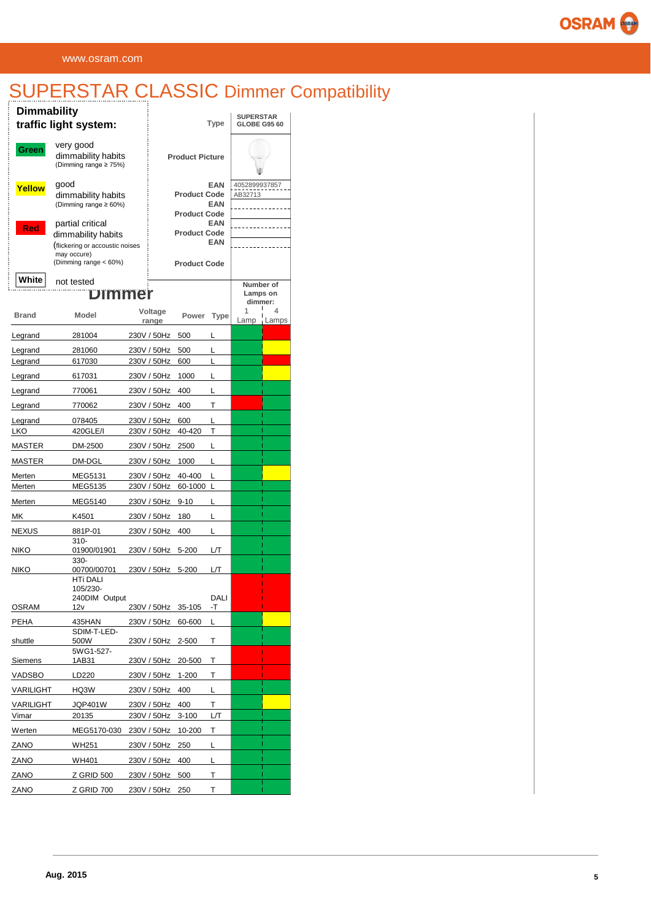# SUPERSTAR CLASSIC Dimmer Compatibility

| <b>Dimmability</b> | traffic light system:                                                                                             |                  | Type                                       | <b>SUPERSTAR</b><br><b>GLOBE G95 60</b> |           |            |  |
|--------------------|-------------------------------------------------------------------------------------------------------------------|------------------|--------------------------------------------|-----------------------------------------|-----------|------------|--|
| Green              | very good<br>dimmability habits<br>(Dimming range ≥ 75%)                                                          |                  | <b>Product Picture</b>                     |                                         |           |            |  |
| Yellow             | good<br>dimmability habits<br>(Dimming range ≥ 60%)                                                               |                  | <b>Product Code</b><br><b>Product Code</b> | 4052899937857<br>AB32713                |           |            |  |
| <b>Red</b>         | partial critical<br>dimmability habits<br>(flickering or accoustic noises<br>may occure)<br>(Dimming range < 60%) |                  | <b>Product Code</b><br><b>Product Code</b> |                                         |           |            |  |
| White              | not tested<br>Dimmer                                                                                              |                  |                                            | Number of<br>Lamps on<br>dimmer:        |           |            |  |
| <b>Brand</b>       | <b>Model</b>                                                                                                      | Voltage<br>range | Power                                      | Type                                    | 1<br>Lamp | 4<br>Lamps |  |
| Legrand            | 281004                                                                                                            | 230V / 50Hz      | 500                                        | L                                       |           |            |  |
| Legrand            | 281060                                                                                                            | 230V / 50Hz      | 500                                        | L                                       |           |            |  |
| Legrand            | 617030                                                                                                            | 230V / 50Hz      | 600                                        | L                                       |           |            |  |
| Legrand            | 617031                                                                                                            | 230V / 50Hz      | 1000                                       | L                                       |           |            |  |
| Legrand            | 770061                                                                                                            | 230V / 50Hz      | 400                                        | L                                       |           |            |  |
| Legrand            | 770062                                                                                                            | 230V / 50Hz      | 400                                        | Т                                       |           |            |  |
| Legrand            | 078405                                                                                                            | 230V / 50Hz      | 600                                        | L                                       |           |            |  |
| <b>LKO</b>         | 420GLE/I                                                                                                          | 230V / 50Hz      | 40-420                                     | T                                       |           |            |  |
| MASTER             | DM-2500                                                                                                           | 230V / 50Hz      | 2500                                       | L                                       |           |            |  |
| MASTER             | DM-DGL                                                                                                            | 230V / 50Hz      | 1000                                       | L                                       |           |            |  |
| Merten             | MEG5131                                                                                                           | 230V / 50Hz      | 40-400                                     | L                                       |           |            |  |
| Merten             | MEG5135                                                                                                           | 230V / 50Hz      | 60-1000                                    | L                                       |           |            |  |
| Merten             | MEG5140                                                                                                           | 230V / 50Hz      | 9-10                                       | L                                       |           |            |  |
| МK                 | K4501                                                                                                             | 230V / 50Hz      | 180                                        | L                                       |           |            |  |
| <b>NEXUS</b>       | 881P-01                                                                                                           | 230V / 50Hz      | 400                                        | L                                       |           |            |  |
| <b>NIKO</b>        | $310 -$<br>01900/01901<br>330-                                                                                    | 230V / 50Hz      | 5-200                                      | L/T                                     |           |            |  |
| <b>NIKO</b>        | 00700/00701                                                                                                       | 230V / 50Hz      | 5-200                                      | L/T                                     |           |            |  |
| OSRAM              | <b>HTi DALI</b><br>105/230-<br>240DIM Output<br>12v                                                               | 230V / 50Hz      | 35-105                                     | DALI<br>٠T                              |           |            |  |
| PEHA               | 435HAN                                                                                                            | 230V / 50Hz      | 60-600                                     | L                                       |           |            |  |
| shuttle            | SDIM-T-LED-<br>500W                                                                                               | 230V / 50Hz      | 2-500                                      | Τ                                       |           |            |  |
| Siemens            | 5WG1-527-<br>1AB31                                                                                                | 230V / 50Hz      | 20-500                                     | Τ                                       |           |            |  |
| VADSBO             | LD220                                                                                                             | 230V / 50Hz      | 1-200                                      | Τ                                       |           |            |  |
| VARILIGHT          | HQ3W                                                                                                              | 230V / 50Hz      | 400                                        | Г                                       |           |            |  |
| <b>VARILIGHT</b>   | JQP401W                                                                                                           | 230V / 50Hz      | 400                                        | т                                       |           |            |  |
| Vimar              | 20135                                                                                                             | 230V / 50Hz      | 3-100                                      | L/T                                     |           |            |  |
| Werten             | MEG5170-030                                                                                                       | 230V / 50Hz      | 10-200                                     | Т                                       |           |            |  |
| ZANO               | WH251                                                                                                             | 230V / 50Hz      | 250                                        | Г                                       |           |            |  |
| ZANO               | WH401                                                                                                             | 230V / 50Hz      | 400                                        | L                                       |           |            |  |
| ZANO               | Z GRID 500                                                                                                        | 230V / 50Hz      | 500                                        | Т                                       |           |            |  |
| ZANO               | Z GRID 700                                                                                                        | 230V / 50Hz 250  |                                            | т                                       |           |            |  |